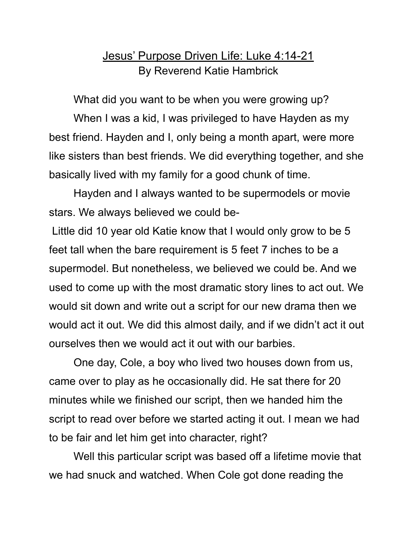## Jesus' Purpose Driven Life: Luke 4:14-21 By Reverend Katie Hambrick

What did you want to be when you were growing up?

When I was a kid, I was privileged to have Hayden as my best friend. Hayden and I, only being a month apart, were more like sisters than best friends. We did everything together, and she basically lived with my family for a good chunk of time.

Hayden and I always wanted to be supermodels or movie stars. We always believed we could be-

Little did 10 year old Katie know that I would only grow to be 5 feet tall when the bare requirement is 5 feet 7 inches to be a supermodel. But nonetheless, we believed we could be. And we used to come up with the most dramatic story lines to act out. We would sit down and write out a script for our new drama then we would act it out. We did this almost daily, and if we didn't act it out ourselves then we would act it out with our barbies.

One day, Cole, a boy who lived two houses down from us, came over to play as he occasionally did. He sat there for 20 minutes while we finished our script, then we handed him the script to read over before we started acting it out. I mean we had to be fair and let him get into character, right?

Well this particular script was based off a lifetime movie that we had snuck and watched. When Cole got done reading the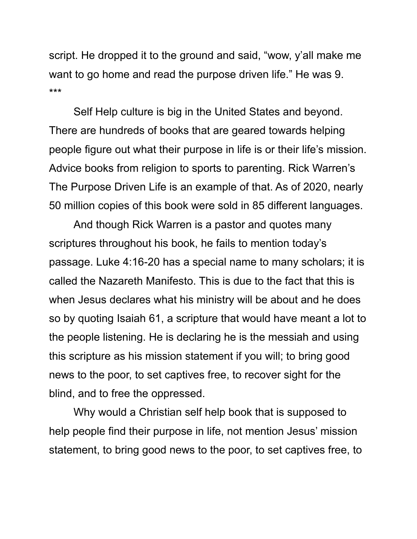script. He dropped it to the ground and said, "wow, y'all make me want to go home and read the purpose driven life." He was 9. \*\*\*

Self Help culture is big in the United States and beyond. There are hundreds of books that are geared towards helping people figure out what their purpose in life is or their life's mission. Advice books from religion to sports to parenting. Rick Warren's The Purpose Driven Life is an example of that. As of 2020, nearly 50 million copies of this book were sold in 85 different languages.

And though Rick Warren is a pastor and quotes many scriptures throughout his book, he fails to mention today's passage. Luke 4:16-20 has a special name to many scholars; it is called the Nazareth Manifesto. This is due to the fact that this is when Jesus declares what his ministry will be about and he does so by quoting Isaiah 61, a scripture that would have meant a lot to the people listening. He is declaring he is the messiah and using this scripture as his mission statement if you will; to bring good news to the poor, to set captives free, to recover sight for the blind, and to free the oppressed.

Why would a Christian self help book that is supposed to help people find their purpose in life, not mention Jesus' mission statement, to bring good news to the poor, to set captives free, to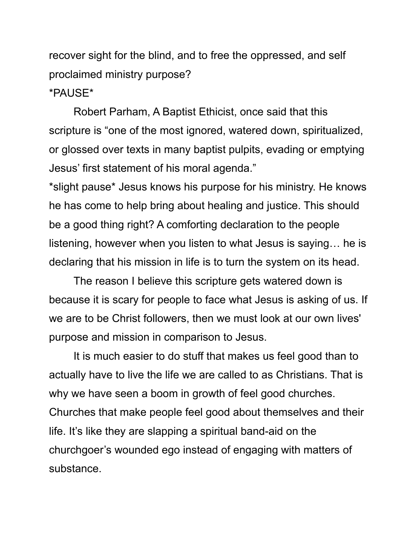recover sight for the blind, and to free the oppressed, and self proclaimed ministry purpose? \*PAUSE\*

Robert Parham, A Baptist Ethicist, once said that this scripture is "one of the most ignored, watered down, spiritualized, or glossed over texts in many baptist pulpits, evading or emptying Jesus' first statement of his moral agenda." \*slight pause\* Jesus knows his purpose for his ministry. He knows he has come to help bring about healing and justice. This should

be a good thing right? A comforting declaration to the people listening, however when you listen to what Jesus is saying… he is declaring that his mission in life is to turn the system on its head.

The reason I believe this scripture gets watered down is because it is scary for people to face what Jesus is asking of us. If we are to be Christ followers, then we must look at our own lives' purpose and mission in comparison to Jesus.

It is much easier to do stuff that makes us feel good than to actually have to live the life we are called to as Christians. That is why we have seen a boom in growth of feel good churches. Churches that make people feel good about themselves and their life. It's like they are slapping a spiritual band-aid on the churchgoer's wounded ego instead of engaging with matters of substance.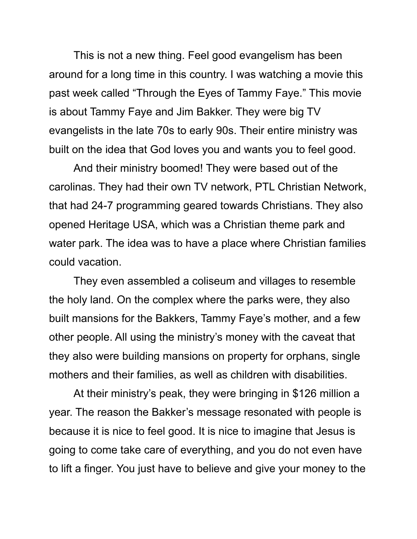This is not a new thing. Feel good evangelism has been around for a long time in this country. I was watching a movie this past week called "Through the Eyes of Tammy Faye." This movie is about Tammy Faye and Jim Bakker. They were big TV evangelists in the late 70s to early 90s. Their entire ministry was built on the idea that God loves you and wants you to feel good.

And their ministry boomed! They were based out of the carolinas. They had their own TV network, PTL Christian Network, that had 24-7 programming geared towards Christians. They also opened Heritage USA, which was a Christian theme park and water park. The idea was to have a place where Christian families could vacation.

They even assembled a coliseum and villages to resemble the holy land. On the complex where the parks were, they also built mansions for the Bakkers, Tammy Faye's mother, and a few other people. All using the ministry's money with the caveat that they also were building mansions on property for orphans, single mothers and their families, as well as children with disabilities.

At their ministry's peak, they were bringing in \$126 million a year. The reason the Bakker's message resonated with people is because it is nice to feel good. It is nice to imagine that Jesus is going to come take care of everything, and you do not even have to lift a finger. You just have to believe and give your money to the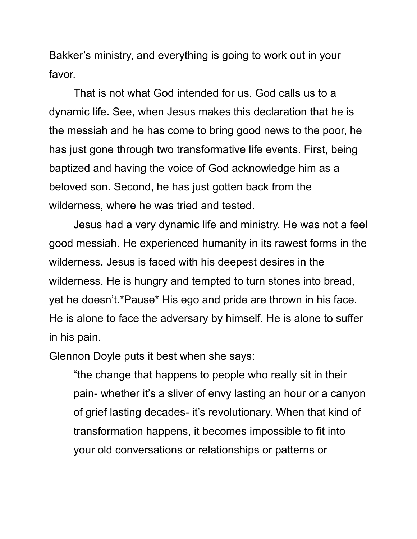Bakker's ministry, and everything is going to work out in your favor.

That is not what God intended for us. God calls us to a dynamic life. See, when Jesus makes this declaration that he is the messiah and he has come to bring good news to the poor, he has just gone through two transformative life events. First, being baptized and having the voice of God acknowledge him as a beloved son. Second, he has just gotten back from the wilderness, where he was tried and tested.

Jesus had a very dynamic life and ministry. He was not a feel good messiah. He experienced humanity in its rawest forms in the wilderness. Jesus is faced with his deepest desires in the wilderness. He is hungry and tempted to turn stones into bread, yet he doesn't.\*Pause\* His ego and pride are thrown in his face. He is alone to face the adversary by himself. He is alone to suffer in his pain.

Glennon Doyle puts it best when she says:

"the change that happens to people who really sit in their pain- whether it's a sliver of envy lasting an hour or a canyon of grief lasting decades- it's revolutionary. When that kind of transformation happens, it becomes impossible to fit into your old conversations or relationships or patterns or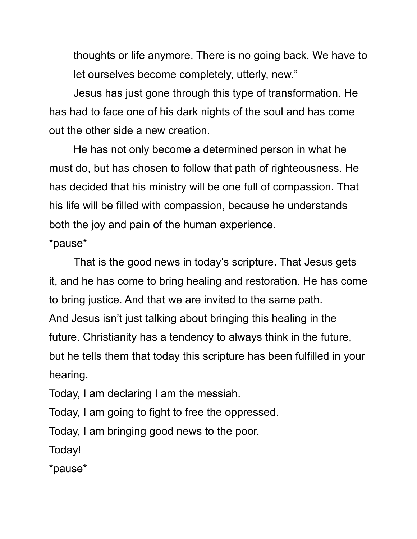thoughts or life anymore. There is no going back. We have to let ourselves become completely, utterly, new."

Jesus has just gone through this type of transformation. He has had to face one of his dark nights of the soul and has come out the other side a new creation.

He has not only become a determined person in what he must do, but has chosen to follow that path of righteousness. He has decided that his ministry will be one full of compassion. That his life will be filled with compassion, because he understands both the joy and pain of the human experience.

\*pause\*

That is the good news in today's scripture. That Jesus gets it, and he has come to bring healing and restoration. He has come to bring justice. And that we are invited to the same path. And Jesus isn't just talking about bringing this healing in the future. Christianity has a tendency to always think in the future, but he tells them that today this scripture has been fulfilled in your hearing.

Today, I am declaring I am the messiah.

Today, I am going to fight to free the oppressed.

Today, I am bringing good news to the poor.

Today!

\*pause\*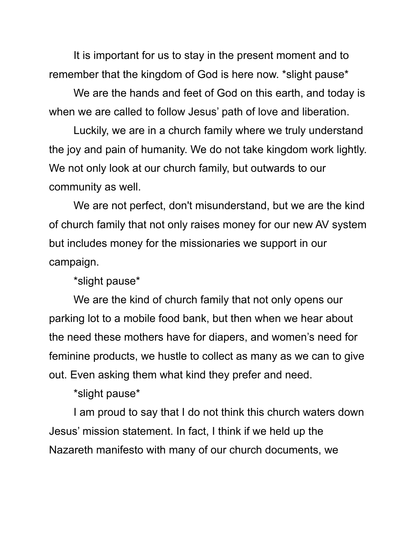It is important for us to stay in the present moment and to remember that the kingdom of God is here now. \*slight pause\*

We are the hands and feet of God on this earth, and today is when we are called to follow Jesus' path of love and liberation.

Luckily, we are in a church family where we truly understand the joy and pain of humanity. We do not take kingdom work lightly. We not only look at our church family, but outwards to our community as well.

We are not perfect, don't misunderstand, but we are the kind of church family that not only raises money for our new AV system but includes money for the missionaries we support in our campaign.

\*slight pause\*

We are the kind of church family that not only opens our parking lot to a mobile food bank, but then when we hear about the need these mothers have for diapers, and women's need for feminine products, we hustle to collect as many as we can to give out. Even asking them what kind they prefer and need.

\*slight pause\*

I am proud to say that I do not think this church waters down Jesus' mission statement. In fact, I think if we held up the Nazareth manifesto with many of our church documents, we